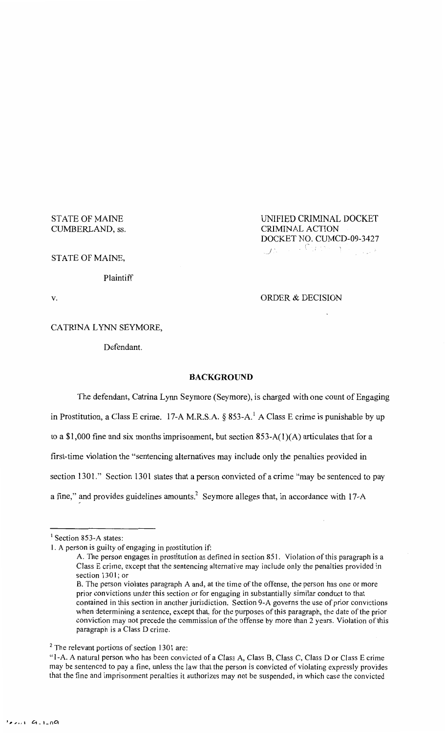# STATE OF MAINE CUMBERLAND, ss.

UNIFIED CRIMINAL DOCKET CRIMINAL ACTION DOCKET NO. CUMCD-09-3427 (-, *\_)'* 

STATE OF MAINE,

Plaintiff

v. CONDER & DECISION

CATRINA LYNN SEYMORE,

Defendant.

## **BACKGROUND**

The defendant, Catrina Lynn Seymore (Seymore), is charged with one count of Engaging in Prostitution, a Class E crime. 17-A M.R.S.A. § 853-A.<sup>1</sup> A Class E crime is punishable by up to a \$1,000 fine and six months imprisonment, but section  $853-A(1)(A)$  articulates that for a first-time violation the "sentencing alternatives may include only the penalties provided in section 1301." Section 1301 states that a person convicted of a crime "may be sentenced to pay a fine," and provides guidelines amounts.<sup>2</sup> Seymore alleges that, in accordance with 17-A

 $<sup>1</sup>$  Section 853-A states:</sup>

I. A person is guilty of engaging in prostitution if:

A. The person engages in prostitution as defined in section 851. Violation of this paragraph is a Class E crime, except that the sentencing alternative may include only the penalties provided in section 1301; or

B. The person violates paragraph A and, at the time of the offense, the person has one or more prior convictions under this section or for engaging in substantially similar conduct to that contained in this section in another jurisdiction. Section 9-A governs the use of prior convictions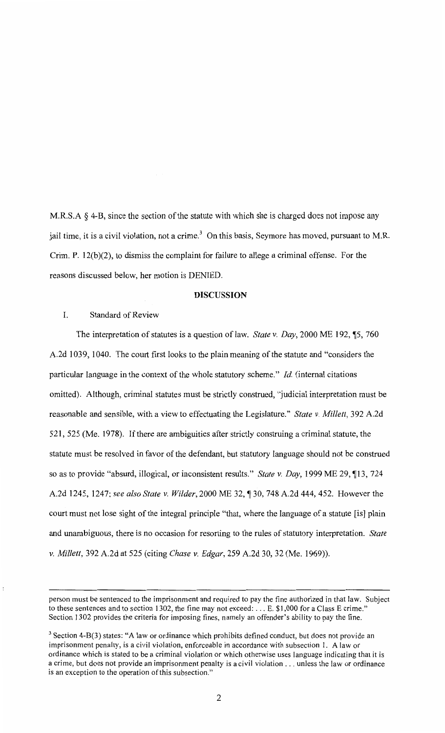M.R.S.A *§* 4-B, since the section of the statute with which she is charged does not impose any jail time, it is a civil violation, not a crime.<sup>3</sup> On this basis, Seymore has moved, pursuant to M.R. Crim. P. 12(b)(2), to dismiss the complaint for failure to allege a criminal offense. For the reasons discussed below, her motion is DENIED.

## **DISCUSSION**

### I. Standard of Review

The interpretation of statutes is a question of law. *State v. Day*, 2000 ME 192, <sup>1</sup>5, 760 A.2d 1039, 1040. The court first looks to the plain meaning of the statute and "considers the particular language in the context of the whole statutory scheme." *!d.* (internal citations omitted). Although, criminal statutes must be strictly construed, "judicial interpretation must be reasonable and sensible, with a view to effectuating the Legislature." *State v. Millett,* 392 A.2d 521, 525 (Me. 1978). If there are ambiguities after strictly construing a criminal statute, the statute must be resolved in favor of the defendant, but statutory language should not be construed so as to provide "absurd, illogical, or inconsistent results." *State v. Day*, 1999 ME 29, 113, 724 A.2d 1245, 1247; see also State v. Wilder, 2000 ME 32, ¶ 30, 748 A.2d 444, 452. However the court must not lose sight of the integral principle "that, where the language of a statute [is] plain and unambiguous, there is no occasion for resorting to the rules of statutory interpretation. *State v. Millett,* 392 A.2d at 525 (citing *Chase v. Edgar,* 259 A.2d 30, 32 (Me. 1969)).

person must be sentenced to the imprisonment and required to pay the fine authorized in that law. Subject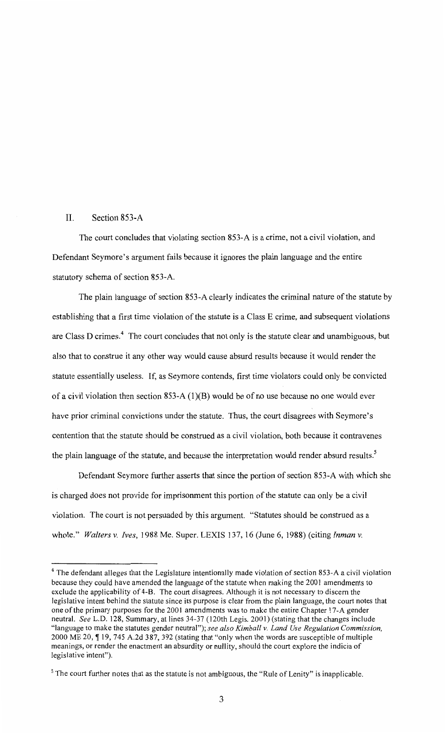### II. Section 853-A

The court concludes that violating section 853-A is a crime, not a civil violation, and Defendant Seymore's argument fails because it ignores the plain language and the entire statutory schema of section 853-A.

The plain language of section 853-A clearly indicates the criminal nature of the statute by establishing that a first time violation of the statute is a Class E crime, and subsequent violations are Class D crimes.<sup>4</sup> The court concludes that not only is the statute clear and unambiguous, but also that to construe it any other way would cause absurd results because it would render the statute essentially useless. If, as Seymore contends, first time violators could only be convicted of a civil violation then section 853-A  $(1)(B)$  would be of no use because no one would ever have prior criminal convictions under the statute. Thus, the court disagrees with Seymore's contention that the statute should be construed as a civil violation, both because it contravenes the plain language of the statute, and because the interpretation would render absurd results.<sup>5</sup>

Defendant Seymore further asserts that since the portion of section 853-A with which she is charged does not provide for imprisonment this portion of the statute can only be a civil violation. The court is not persuaded by this argument. "Statutes should be construed as a whole." *Walters v. Ives,* 1988 Me. Super. LEXIS 137, 16 (June 6, 1988) (citing *Inman v.* 

<sup>&</sup>lt;sup>4</sup> The defendant alleges that the Legislature intentionally made violation of section 853-A a civil violation because they could have amended the language of the statute when making the 2001 amendments to exclude the applicability of 4-B. The court disagrees. Although it is not necessary to discern the legislative intent behind the statute since its purpose is clear from the plain language, the court notes that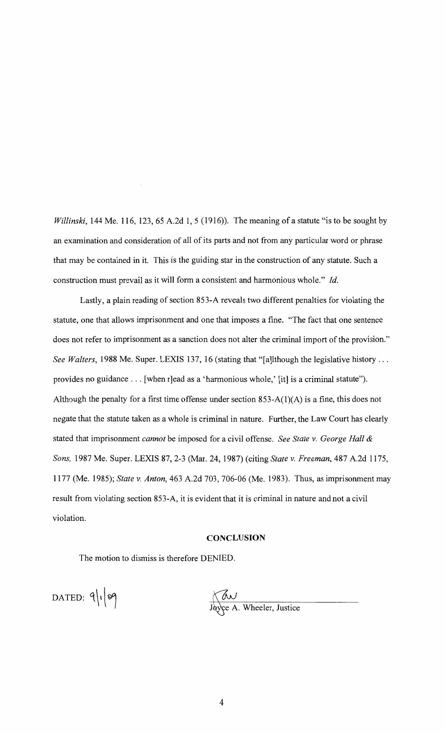*Willinski*, 144 Me. 116, 123, 65 A.2d 1, 5 (1916)). The meaning of a statute "is to be sought by an examination and consideration of all of its parts and not from any particular word or phrase that may be contained in it. This is the guiding star in the construction of any statute. Such a construction must prevail as it will form a consistent and harmonious whole." *!d.* 

Lastly, a plain reading of section 853-A reveals two different penalties for violating the statute, one that allows imprisonment and one that imposes a fine. "The fact that one sentence does not refer to imprisonment as a sanction does not alter the criminal import of the provision." *See Walters,* 1988 Me. Super. LEXIS 137, 16 (stating that "[a]lthough the legislative history ... provides no guidance ... [when r]ead as a 'harmonious whole,' [it] is a criminal statute"). Although the penalty for a first time offense under section  $853-A(1)(A)$  is a fine, this does not negate that the statute taken as a whole is criminal in nature. Further, the Law Court has clearly stated that imprisonment *cannot* be imposed for a civil offense. *See State v. George Hall* & *Sons,* 1987 Me. Super. LEXIS 87, 2-3 (Mar. 24, 1987) (citing *State v. Freeman,* 487 A.2d 1175, 1177 (Me. 1985); *State v. Anton,* 463 A.2d 703, 706-06 (Me. 1983). Thus, as imprisonment may result from violating section 853-A, it is evident that it is criminal in nature and not a civil violation.

### **CONCLUSION**

The motion to dismiss is therefore DENIED.

 $DATAE$ D.  $9|19$ 

Kav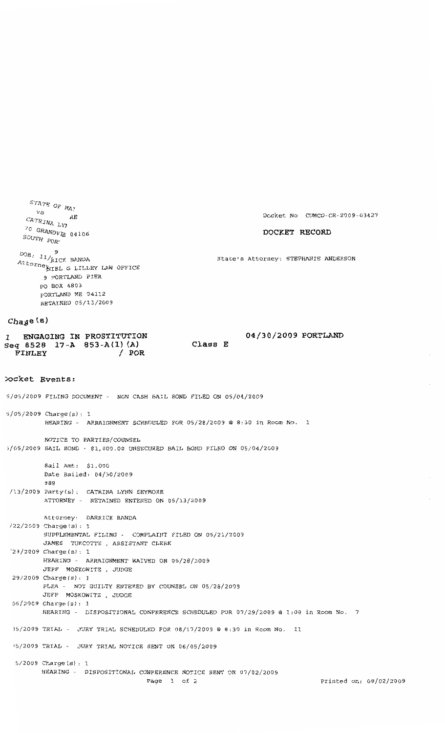$\frac{STATE}{VS}$  OF  $MAY$ *C<sub>MA?</sub>*<br> *C M<sub>A</sub>*<br> *C RE RE*  $\frac{1}{20}$   $\frac{1}{20}$  $70$  GRANDV<sub>IE</sub> 04106  $\begin{aligned} SOUTH &\quad \text{POR}^{\star} \end{aligned}$  $\frac{DOB}{D}$ . 11/kICK BANDA Attorney Kitch Willey LAW OFFICE 9 PORTLAND PIER PO BOX 4803 pORTLAND ME 04112 RETAINED 05/13/2009

#### **DOCKET RECORD**

State's Attorney: STEPHANIE ANDERSON

#### Cha<sub>y</sub>e(s)

**1. ENGAGING IN PROSTITUTION 04/30/2009 PORTLAND Seq 8528 17-A 853-A{l) {A) Class E FINLEY / POR** 

#### **)ocket Events:**

05/2009 Charge Charge Charge Charge Charge Charge Charge Charge Charge Charge Charge Charge Charge Charge Char<br>- 1980 Charge Charge Charge Charge Charge Charge Charge Charge Charge Charge Charge Charge Charge Charge Charg

5/05/2009 FILING DOCUMENT - NON CASH BAIL BOND FILED ON 05/04/2009

- 5/05/2009 Charge(s): 1 HEARING - ARRAIGNMENT SCHEDULED FOR 05/28/2009 @ 8:30 in Room No. 1
- NOTICE TO PARTIES/COUNSEL >/05/2009 BAIL BOND - \$1,000.00 UNSECURED BAIL BOND FILED ON 05/04/2009

Bail Amt: \$1,000 Date Bailed: 04/30/2009 988 /13/2009 Party(s): CATRINA LYNN SEYMORE ATTORNEY - RETAINED ENTERED ON 05/13/2009 Attorney: DARRICK BANDA 122/2009 Charge(s): 1 SUPPLEMENTAL FILING - COMPLAINT FILED ON 05/21/2009

JAMES TURCOTTE , ASSISTANT CLERK '29/2009 Charge(s): 1 HEARING - ARRAIGNMENT WAIVED ON 05/28/2009 JEFF MOSKOWITZ , JUDGE 29/2009 Charge(s): 1

PLEA - NOT GUILTY ENTERED BY COUNSEL ON 05/28/2009 JEFF MOSKOWITZ , JUDGE